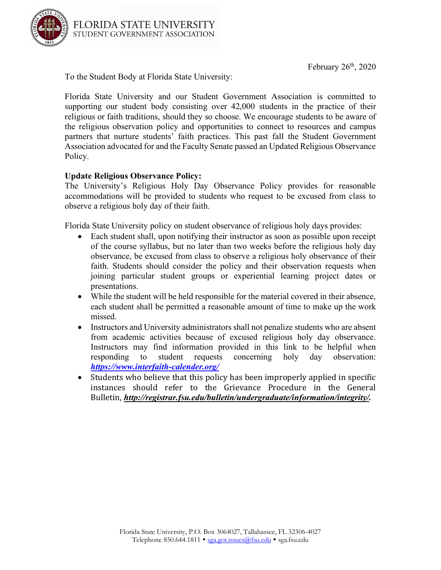

To the Student Body at Florida State University:

Florida State University and our Student Government Association is committed to supporting our student body consisting over 42,000 students in the practice of their religious or faith traditions, should they so choose. We encourage students to be aware of the religious observation policy and opportunities to connect to resources and campus partners that nurture students' faith practices. This past fall the Student Government Association advocated for and the Faculty Senate passed an Updated Religious Observance Policy.

## **Update Religious Observance Policy:**

The University's Religious Holy Day Observance Policy provides for reasonable accommodations will be provided to students who request to be excused from class to observe a religious holy day of their faith.

Florida State University policy on student observance of religious holy days provides:

- Each student shall, upon notifying their instructor as soon as possible upon receipt of the course syllabus, but no later than two weeks before the religious holy day observance, be excused from class to observe a religious holy observance of their faith. Students should consider the policy and their observation requests when joining particular student groups or experiential learning project dates or presentations.
- While the student will be held responsible for the material covered in their absence, each student shall be permitted a reasonable amount of time to make up the work missed.
- Instructors and University administrators shall not penalize students who are absent from academic activities because of excused religious holy day observance. Instructors may find information provided in this link to be helpful when responding to student requests concerning holy day observation: *https://www.interfaith-calender.org/*
- Students who believe that this policy has been improperly applied in specific instances should refer to the Grievance Procedure in the General Bulletin, *http://registrar.fsu.edu/bulletin/undergraduate/information/integrity/.*